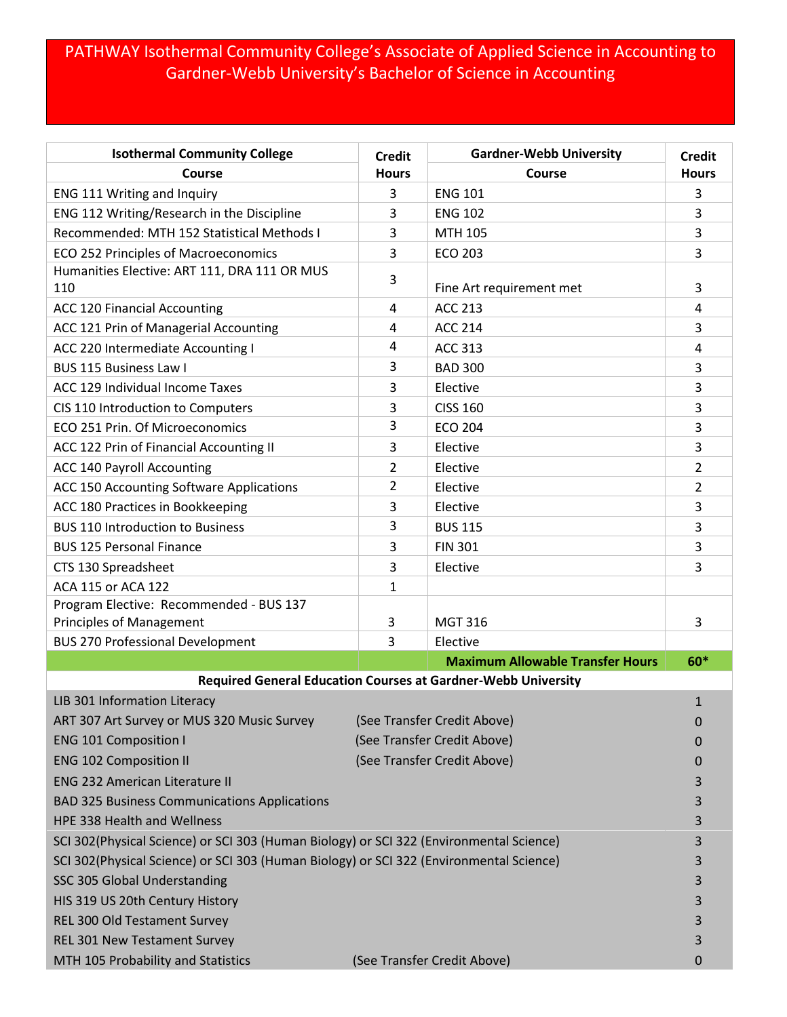## PATHWAY Isothermal Community College's Associate of Applied Science in Accounting to Gardner-Webb University's Bachelor of Science in Accounting

| <b>Isothermal Community College</b>                                                     | <b>Credit</b>               | <b>Gardner-Webb University</b>                                       | <b>Credit</b>  |
|-----------------------------------------------------------------------------------------|-----------------------------|----------------------------------------------------------------------|----------------|
| Course                                                                                  | <b>Hours</b>                | Course                                                               | <b>Hours</b>   |
| ENG 111 Writing and Inquiry                                                             | 3                           | <b>ENG 101</b>                                                       | 3              |
| ENG 112 Writing/Research in the Discipline                                              | 3                           | <b>ENG 102</b>                                                       | 3              |
| Recommended: MTH 152 Statistical Methods I                                              | 3                           | <b>MTH 105</b>                                                       | 3              |
| <b>ECO 252 Principles of Macroeconomics</b>                                             | 3                           | <b>ECO 203</b>                                                       | 3              |
| Humanities Elective: ART 111, DRA 111 OR MUS<br>110                                     | 3                           | Fine Art requirement met                                             | 3              |
| <b>ACC 120 Financial Accounting</b>                                                     | 4                           | <b>ACC 213</b>                                                       | 4              |
| ACC 121 Prin of Managerial Accounting                                                   | 4                           | <b>ACC 214</b>                                                       | 3              |
| ACC 220 Intermediate Accounting I                                                       | 4                           | <b>ACC 313</b>                                                       | 4              |
| <b>BUS 115 Business Law I</b>                                                           | 3                           | <b>BAD 300</b>                                                       | 3              |
| ACC 129 Individual Income Taxes                                                         | 3                           | Elective                                                             | 3              |
| CIS 110 Introduction to Computers                                                       | 3                           | <b>CISS 160</b>                                                      | 3              |
| ECO 251 Prin. Of Microeconomics                                                         | 3                           | <b>ECO 204</b>                                                       | 3              |
| ACC 122 Prin of Financial Accounting II                                                 | 3                           | Elective                                                             | 3              |
| <b>ACC 140 Payroll Accounting</b>                                                       | $\overline{2}$              | Elective                                                             | 2              |
| ACC 150 Accounting Software Applications                                                | 2                           | Elective                                                             | $\overline{2}$ |
| ACC 180 Practices in Bookkeeping                                                        | 3                           | Elective                                                             | 3              |
| <b>BUS 110 Introduction to Business</b>                                                 | 3                           | <b>BUS 115</b>                                                       | 3              |
| <b>BUS 125 Personal Finance</b>                                                         | 3                           | <b>FIN 301</b>                                                       | 3              |
| CTS 130 Spreadsheet                                                                     | 3                           | Elective                                                             | 3              |
| ACA 115 or ACA 122                                                                      | 1                           |                                                                      |                |
| Program Elective: Recommended - BUS 137                                                 |                             |                                                                      |                |
| <b>Principles of Management</b>                                                         | 3                           | <b>MGT 316</b>                                                       | 3              |
| <b>BUS 270 Professional Development</b>                                                 | 3                           | Elective                                                             |                |
|                                                                                         |                             | <b>Maximum Allowable Transfer Hours</b>                              | $60*$          |
|                                                                                         |                             | <b>Required General Education Courses at Gardner-Webb University</b> |                |
| LIB 301 Information Literacy                                                            |                             |                                                                      |                |
| ART 307 Art Survey or MUS 320 Music Survey                                              | (See Transfer Credit Above) |                                                                      | 0              |
| <b>ENG 101 Composition I</b>                                                            | (See Transfer Credit Above) |                                                                      | 0              |
| (See Transfer Credit Above)<br><b>ENG 102 Composition II</b>                            |                             |                                                                      | 0              |
| <b>ENG 232 American Literature II</b>                                                   |                             |                                                                      | 3              |
| <b>BAD 325 Business Communications Applications</b>                                     |                             |                                                                      | 3              |
| HPE 338 Health and Wellness                                                             |                             |                                                                      | 3              |
| SCI 302(Physical Science) or SCI 303 (Human Biology) or SCI 322 (Environmental Science) |                             |                                                                      | 3              |
| SCI 302(Physical Science) or SCI 303 (Human Biology) or SCI 322 (Environmental Science) |                             |                                                                      | 3              |
| SSC 305 Global Understanding                                                            |                             |                                                                      | 3              |
| HIS 319 US 20th Century History                                                         |                             |                                                                      | 3              |
| REL 300 Old Testament Survey                                                            |                             |                                                                      | 3              |
| REL 301 New Testament Survey                                                            |                             |                                                                      | 3              |
| MTH 105 Probability and Statistics                                                      |                             | (See Transfer Credit Above)                                          | 0              |